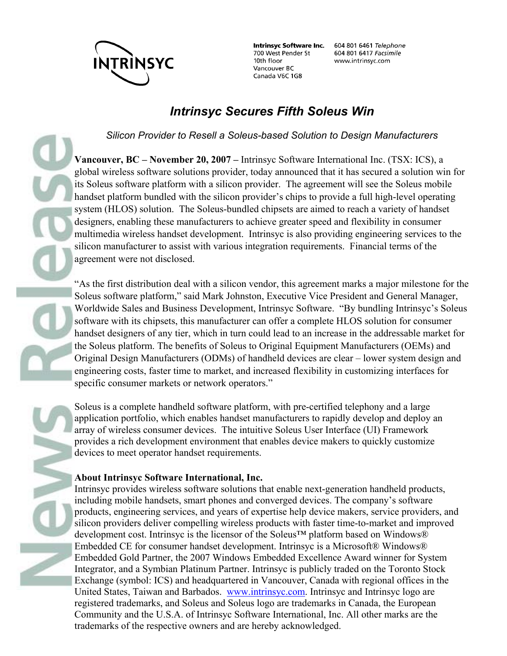

700 West Pender St 10th floor Vancouver BC Canada V6C 1G8

Intrinsyc Software Inc. 604 801 6461 Telephone 604 801 6417 Facsimile www.intrinsyc.com

## *Intrinsyc Secures Fifth Soleus Win*

*Silicon Provider to Resell a Soleus-based Solution to Design Manufacturers* 

**Vancouver, BC – November 20, 2007 –** Intrinsyc Software International Inc. (TSX: ICS), a global wireless software solutions provider, today announced that it has secured a solution win for its Soleus software platform with a silicon provider. The agreement will see the Soleus mobile handset platform bundled with the silicon provider's chips to provide a full high-level operating system (HLOS) solution. The Soleus-bundled chipsets are aimed to reach a variety of handset designers, enabling these manufacturers to achieve greater speed and flexibility in consumer multimedia wireless handset development. Intrinsyc is also providing engineering services to the silicon manufacturer to assist with various integration requirements. Financial terms of the agreement were not disclosed.

"As the first distribution deal with a silicon vendor, this agreement marks a major milestone for the Soleus software platform," said Mark Johnston, Executive Vice President and General Manager, Worldwide Sales and Business Development, Intrinsyc Software. "By bundling Intrinsyc's Soleus software with its chipsets, this manufacturer can offer a complete HLOS solution for consumer handset designers of any tier, which in turn could lead to an increase in the addressable market for the Soleus platform. The benefits of Soleus to Original Equipment Manufacturers (OEMs) and Original Design Manufacturers (ODMs) of handheld devices are clear – lower system design and engineering costs, faster time to market, and increased flexibility in customizing interfaces for specific consumer markets or network operators."

Soleus is a complete handheld software platform, with pre-certified telephony and a large application portfolio, which enables handset manufacturers to rapidly develop and deploy an array of wireless consumer devices. The intuitive Soleus User Interface (UI) Framework provides a rich development environment that enables device makers to quickly customize devices to meet operator handset requirements.

## **About Intrinsyc Software International, Inc.**

Intrinsyc provides wireless software solutions that enable next-generation handheld products, including mobile handsets, smart phones and converged devices. The company's software products, engineering services, and years of expertise help device makers, service providers, and silicon providers deliver compelling wireless products with faster time-to-market and improved development cost. Intrinsyc is the licensor of the Soleus™ platform based on Windows® Embedded CE for consumer handset development. Intrinsyc is a Microsoft® Windows® Embedded Gold Partner, the 2007 Windows Embedded Excellence Award winner for System Integrator, and a Symbian Platinum Partner. Intrinsyc is publicly traded on the Toronto Stock Exchange (symbol: ICS) and headquartered in Vancouver, Canada with regional offices in the United States, Taiwan and Barbados. www.intrinsyc.com. Intrinsyc and Intrinsyc logo are registered trademarks, and Soleus and Soleus logo are trademarks in Canada, the European Community and the U.S.A. of Intrinsyc Software International, Inc. All other marks are the trademarks of the respective owners and are hereby acknowledged.